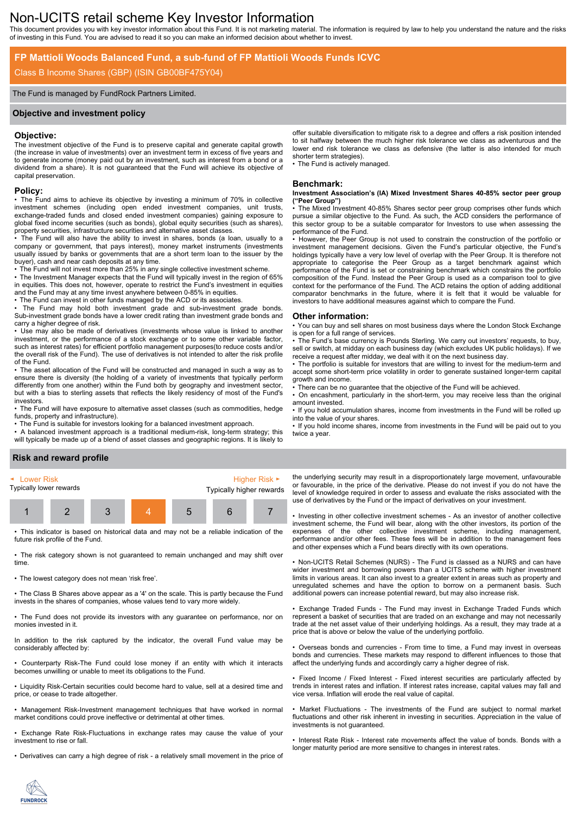# Non-UCITS retail scheme Key Investor Information

This document provides you with key investor information about this Fund. It is not marketing material. The information is required by law to help you understand the nature and the risks of investing in this Fund. You are advised to read it so you can make an informed decision about whether to invest.

# **FP Mattioli Woods Balanced Fund, a sub-fund of FP Mattioli Woods Funds ICVC**

# Class B Income Shares (GBP) (ISIN GB00BF475Y04)

### The Fund is managed by FundRock Partners Limited.

### **Objective and investment policy**

### **Objective:**

The investment objective of the Fund is to preserve capital and generate capital growth (the increase in value of investments) over an investment term in excess of five years and to generate income (money paid out by an investment, such as interest from a bond or a dividend from a share). It is not guaranteed that the Fund will achieve its objective of capital preservation.

#### **Policy:**

• The Fund aims to achieve its objective by investing a minimum of 70% in collective investment schemes (including open ended investment companies, unit trusts, exchange-traded funds and closed ended investment companies) gaining exposure to global fixed income securities (such as bonds), global equity securities (such as shares), property securities, infrastructure securities and alternative asset classes.

• The Fund will also have the ability to invest in shares, bonds (a loan, usually to a company or government, that pays interest), money market instruments (investments usually issued by banks or governments that are a short term loan to the issuer by the buyer), cash and near cash deposits at any time.

• The Fund will not invest more than 25% in any single collective investment scheme. • The Investment Manager expects that the Fund will typically invest in the region of 65% in equities. This does not, however, operate to restrict the Fund's investment in equities and the Fund may at any time invest anywhere between 0-85% in equities.

• The Fund can invest in other funds managed by the ACD or its associates.

• The Fund may hold both investment grade and sub-investment grade bonds. Sub-investment grade bonds have a lower credit rating than investment grade bonds and carry a higher degree of risk.

• Use may also be made of derivatives (investments whose value is linked to another investment, or the performance of a stock exchange or to some other variable factor, such as interest rates) for efficient portfolio management purposes(to reduce costs and/or the overall risk of the Fund). The use of derivatives is not intended to alter the risk profile of the Fund.

• The asset allocation of the Fund will be constructed and managed in such a way as to ensure there is diversity (the holding of a variety of investments that typically perform differently from one another) within the Fund both by geography and investment sector, but with a bias to sterling assets that reflects the likely residency of most of the Fund's investors.

• The Fund will have exposure to alternative asset classes (such as commodities, hedge funds, property and infrastructure).

• The Fund is suitable for investors looking for a balanced investment approach.

• A balanced investment approach is a traditional medium-risk, long-term strategy; this will typically be made up of a blend of asset classes and geographic regions. It is likely to

offer suitable diversification to mitigate risk to a degree and offers a risk position intended to sit halfway between the much higher risk tolerance we class as adventurous and the lower end risk tolerance we class as defensive (the latter is also intended for much shorter term strategies).

• The Fund is actively managed.

### **Benchmark:**

#### **Investment Association's (IA) Mixed Investment Shares 40-85% sector peer group ("Peer Group")**

The Mixed Investment 40-85% Shares sector peer group comprises other funds which pursue a similar objective to the Fund. As such, the ACD considers the performance of this sector group to be a suitable comparator for Investors to use when assessing the performance of the Fund.

• However, the Peer Group is not used to constrain the construction of the portfolio or investment management decisions. Given the Fund's particular objective, the Fund's holdings typically have a very low level of overlap with the Peer Group. It is therefore not appropriate to categorise the Peer Group as a target benchmark against which performance of the Fund is set or constraining benchmark which constrains the portfolio composition of the Fund. Instead the Peer Group is used as a comparison tool to give context for the performance of the Fund. The ACD retains the option of adding additional comparator benchmarks in the future, where it is felt that it would be valuable for investors to have additional measures against which to compare the Fund.

#### **Other information:**

• You can buy and sell shares on most business days where the London Stock Exchange is open for a full range of services.

• The Fund's base currency is Pounds Sterling. We carry out investors' requests, to buy, sell or switch, at midday on each business day (which excludes UK public holidays). If we receive a request after midday, we deal with it on the next business day.

• The portfolio is suitable for investors that are willing to invest for the medium-term and accept some short-term price volatility in order to generate sustained longer-term capital growth and income.

• There can be no guarantee that the objective of the Fund will be achieved.

• On encashment, particularly in the short-term, you may receive less than the original amount invested.

• If you hold accumulation shares, income from investments in the Fund will be rolled up into the value of your shares.

• If you hold income shares, income from investments in the Fund will be paid out to you twice a year.

### **Risk and reward profile**



This indicator is based on historical data and may not be a reliable indication of the future risk profile of the Fund.

• The risk category shown is not guaranteed to remain unchanged and may shift over time.

• The lowest category does not mean 'risk free'.

• The Class B Shares above appear as a '4' on the scale. This is partly because the Fund invests in the shares of companies, whose values tend to vary more widely.

• The Fund does not provide its investors with any guarantee on performance, nor on monies invested in it.

In addition to the risk captured by the indicator, the overall Fund value may be considerably affected by:

• Counterparty Risk-The Fund could lose money if an entity with which it interacts becomes unwilling or unable to meet its obligations to the Fund.

• Liquidity Risk-Certain securities could become hard to value, sell at a desired time and price, or cease to trade altogether.

• Management Risk-Investment management techniques that have worked in normal market conditions could prove ineffective or detrimental at other times.

• Exchange Rate Risk-Fluctuations in exchange rates may cause the value of your investment to rise or fall.

• Derivatives can carry a high degree of risk - a relatively small movement in the price of

the underlying security may result in a disproportionately large movement, unfavourable or favourable, in the price of the derivative. Please do not invest if you do not have the level of knowledge required in order to assess and evaluate the risks associated with the use of derivatives by the Fund or the impact of derivatives on your investment.

• Investing in other collective investment schemes - As an investor of another collective investment scheme, the Fund will bear, along with the other investors, its portion of the expenses of the other collective investment scheme, including management, performance and/or other fees. These fees will be in addition to the management fees and other expenses which a Fund bears directly with its own operations.

• Non-UCITS Retail Schemes (NURS) - The Fund is classed as a NURS and can have wider investment and borrowing powers than a UCITS scheme with higher investment limits in various areas. It can also invest to a greater extent in areas such as property and unregulated schemes and have the option to borrow on a permanent basis. Such additional powers can increase potential reward, but may also increase risk.

• Exchange Traded Funds - The Fund may invest in Exchange Traded Funds which represent a basket of securities that are traded on an exchange and may not necessarily trade at the net asset value of their underlying holdings. As a result, they may trade at a price that is above or below the value of the underlying portfolio.

• Overseas bonds and currencies - From time to time, a Fund may invest in overseas bonds and currencies. These markets may respond to different influences to those that affect the underlying funds and accordingly carry a higher degree of risk.

• Fixed Income / Fixed Interest - Fixed interest securities are particularly affected by trends in interest rates and inflation. If interest rates increase, capital values may fall and vice versa. Inflation will erode the real value of capital.

• Market Fluctuations - The investments of the Fund are subject to normal market fluctuations and other risk inherent in investing in securities. Appreciation in the value of investments is not guaranteed.

• Interest Rate Risk - Interest rate movements affect the value of bonds. Bonds with a longer maturity period are more sensitive to changes in interest rates.